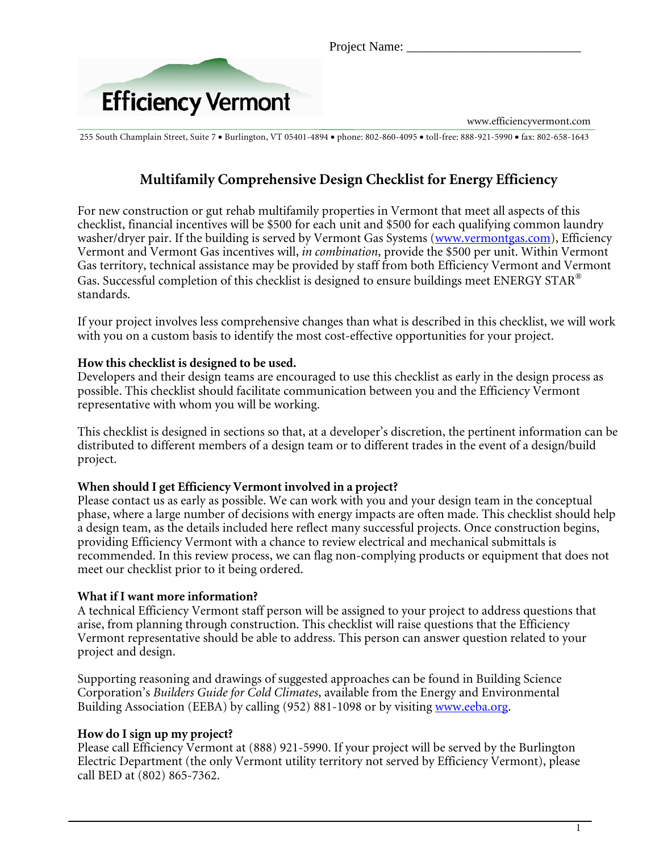Project Name:



www.efficiencyvermont.com

255 South Champlain Street, Suite 7 • Burlington, VT 05401-4894 • phone: 802-860-4095 • toll-free: 888-921-5990 • fax: 802-658-1643

# **Multifamily Comprehensive Design Checklist for Energy Efficiency**

 For new construction or gut rehab multifamily properties in Vermont that meet all aspects of this checklist, financial incentives will be \$500 for each unit and \$500 for each qualifying common laundry washer/dryer pair. If the building is served by Vermont Gas Systems (www.vermontgas.com), Efficiency Vermont and Vermont Gas incentives will, *in combination*, provide the \$500 per unit. Within Vermont Gas territory, technical assistance may be provided by staff from both Efficiency Vermont and Vermont Gas. Successful completion of this checklist is designed to ensure buildings meet ENERGY STAR<sup>®</sup> standards.

If your project involves less comprehensive changes than what is described in this checklist, we will work with you on a custom basis to identify the most cost-effective opportunities for your project.

#### **How this checklist is designed to be used.**

Developers and their design teams are encouraged to use this checklist as early in the design process as possible. This checklist should facilitate communication between you and the Efficiency Vermont representative with whom you will be working.

This checklist is designed in sections so that, at a developer's discretion, the pertinent information can be distributed to different members of a design team or to different trades in the event of a design/build project.

#### **When should I get Efficiency Vermont involved in a project?**

Please contact us as early as possible. We can work with you and your design team in the conceptual phase, where a large number of decisions with energy impacts are often made. This checklist should help a design team, as the details included here reflect many successful projects. Once construction begins, providing Efficiency Vermont with a chance to review electrical and mechanical submittals is recommended. In this review process, we can flag non-complying products or equipment that does not meet our checklist prior to it being ordered.

#### **What if I want more information?**

A technical Efficiency Vermont staff person will be assigned to your project to address questions that arise, from planning through construction. This checklist will raise questions that the Efficiency Vermont representative should be able to address. This person can answer question related to your project and design.

Supporting reasoning and drawings of suggested approaches can be found in Building Science Corporation's *Builders Guide for Cold Climates*, available from the Energy and Environmental Building Association (EEBA) by calling (952) 881-1098 or by visiting www.eeba.org.

#### **How do I sign up my project?**

Please call Efficiency Vermont at (888) 921-5990. If your project will be served by the Burlington Electric Department (the only Vermont utility territory not served by Efficiency Vermont), please call BED at (802) 865-7362.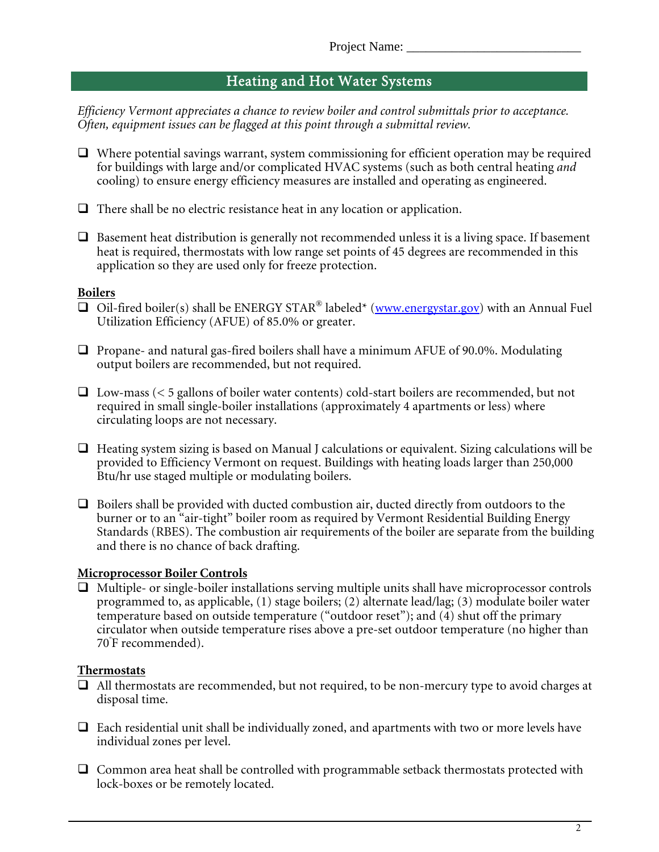## Heating and Hot Water Systems

*Efficiency Vermont appreciates a chance to review boiler and control submittals prior to acceptance. Often, equipment issues can be flagged at this point through a submittal review.*

- $\Box$  Where potential savings warrant, system commissioning for efficient operation may be required for buildings with large and/or complicated HVAC systems (such as both central heating *and* cooling) to ensure energy efficiency measures are installed and operating as engineered.
- $\Box$  There shall be no electric resistance heat in any location or application.
- $\Box$  Basement heat distribution is generally not recommended unless it is a living space. If basement heat is required, thermostats with low range set points of 45 degrees are recommended in this application so they are used only for freeze protection.

#### **Boilers**

- $\Box$  Oil-fired boiler(s) shall be ENERGY STAR® labeled\* (www.energystar.gov) with an Annual Fuel Utilization Efficiency (AFUE) of 85.0% or greater.
- $\Box$  Propane- and natural gas-fired boilers shall have a minimum AFUE of 90.0%. Modulating output boilers are recommended, but not required.
- $\Box$  Low-mass (< 5 gallons of boiler water contents) cold-start boilers are recommended, but not required in small single-boiler installations (approximately 4 apartments or less) where circulating loops are not necessary.
- $\Box$  Heating system sizing is based on Manual J calculations or equivalent. Sizing calculations will be provided to Efficiency Vermont on request. Buildings with heating loads larger than 250,000 Btu/hr use staged multiple or modulating boilers.
- $\Box$  Boilers shall be provided with ducted combustion air, ducted directly from outdoors to the burner or to an "air-tight" boiler room as required by Vermont Residential Building Energy Standards (RBES). The combustion air requirements of the boiler are separate from the building and there is no chance of back drafting.

#### **Microprocessor Boiler Controls**

 $\Box$  Multiple- or single-boiler installations serving multiple units shall have microprocessor controls programmed to, as applicable, (1) stage boilers; (2) alternate lead/lag; (3) modulate boiler water temperature based on outside temperature ("outdoor reset"); and  $(\overline{4})$  shut off the primary circulator when outside temperature rises above a pre-set outdoor temperature (no higher than 70º F recommended).

### **Thermostats**

- $\Box$  All thermostats are recommended, but not required, to be non-mercury type to avoid charges at disposal time.
- $\Box$  Each residential unit shall be individually zoned, and apartments with two or more levels have individual zones per level.
- $\Box$  Common area heat shall be controlled with programmable setback thermostats protected with lock-boxes or be remotely located.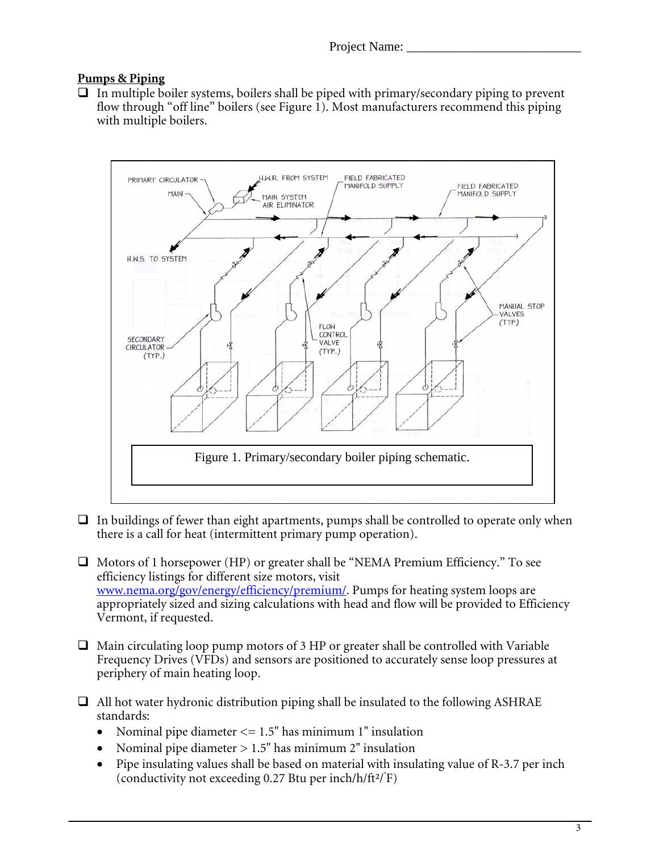### **Pumps & Piping**

 $\Box$  In multiple boiler systems, boilers shall be piped with primary/secondary piping to prevent flow through "off line" boilers (see Figure 1). Most manufacturers recommend this piping with multiple boilers.



- $\Box$  In buildings of fewer than eight apartments, pumps shall be controlled to operate only when there is a call for heat (intermittent primary pump operation).
- $\Box$  Motors of 1 horsepower (HP) or greater shall be "NEMA Premium Efficiency." To see efficiency listings for different size motors, visit www.nema.org/gov/energy/efficiency/premium/. Pumps for heating system loops are appropriately sized and sizing calculations with head and flow will be provided to Efficiency Vermont, if requested.
- $\Box$  Main circulating loop pump motors of 3 HP or greater shall be controlled with Variable Frequency Drives (VFDs) and sensors are positioned to accurately sense loop pressures at periphery of main heating loop.
- $\Box$  All hot water hydronic distribution piping shall be insulated to the following ASHRAE standards:
	- Nominal pipe diameter  $\leq$  1.5" has minimum 1" insulation
	- Nominal pipe diameter  $> 1.5$ " has minimum 2" insulation
- Pipe insulating values shall be based on material with insulating value of R-3.7 per inch (conductivity not exceeding 0.27 Btu per inch/h/ft $2$ / $\hat{F}$ )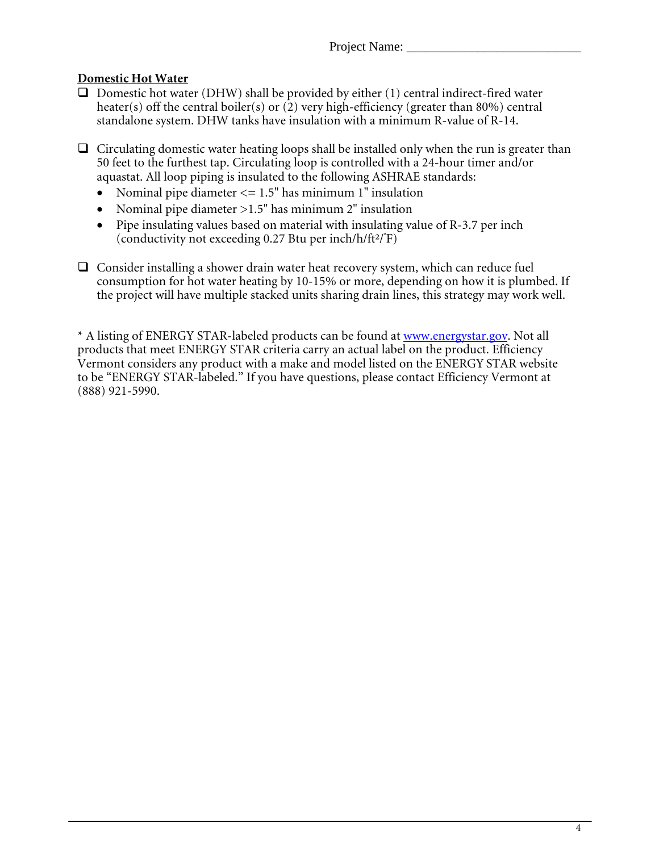## **Domestic Hot Water**

- $\Box$  Domestic hot water (DHW) shall be provided by either (1) central indirect-fired water heater(s) off the central boiler(s) or  $(2)$  very high-efficiency (greater than 80%) central standalone system. DHW tanks have insulation with a minimum R-value of R-14.
- $\Box$  Circulating domestic water heating loops shall be installed only when the run is greater than 50 feet to the furthest tap. Circulating loop is controlled with a 24-hour timer and/or aquastat. All loop piping is insulated to the following ASHRAE standards:
	- Nominal pipe diameter  $\leq$  1.5" has minimum 1" insulation
	- Nominal pipe diameter >1.5" has minimum 2" insulation
	- Pipe insulating values based on material with insulating value of R-3.7 per inch (conductivity not exceeding 0.27 Btu per inch/h/ft2/°F)
- $\Box$  Consider installing a shower drain water heat recovery system, which can reduce fuel consumption for hot water heating by 10-15% or more, depending on how it is plumbed. If the project will have multiple stacked units sharing drain lines, this strategy may work well.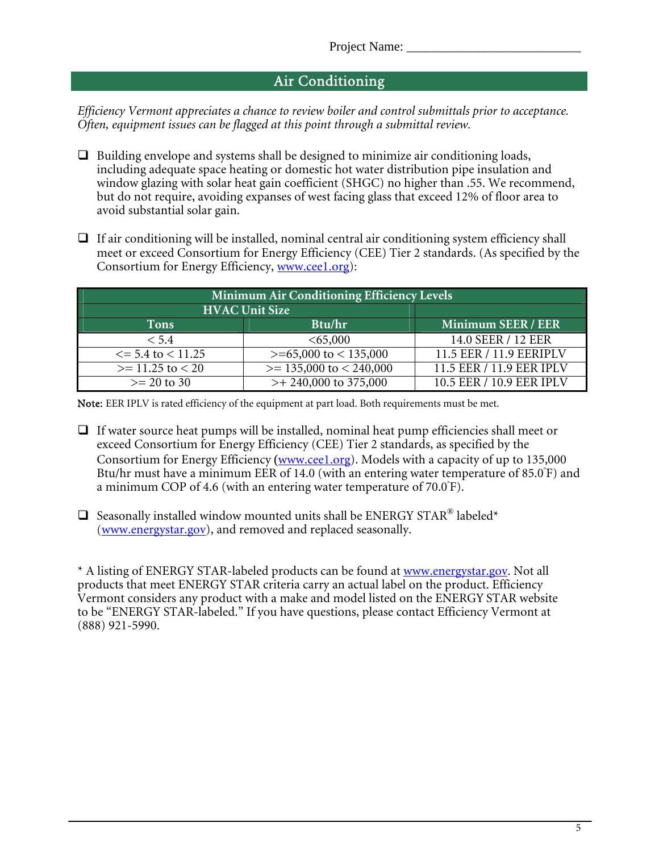## Air Conditioning

*Efficiency Vermont appreciates a chance to review boiler and control submittals prior to acceptance. Often, equipment issues can be flagged at this point through a submittal review.*

- $\Box$  Building envelope and systems shall be designed to minimize air conditioning loads, including adequate space heating or domestic hot water distribution pipe insulation and window glazing with solar heat gain coefficient (SHGC) no higher than .55. We recommend, but do not require, avoiding expanses of west facing glass that exceed 12% of floor area to avoid substantial solar gain.
- $\Box$  If air conditioning will be installed, nominal central air conditioning system efficiency shall meet or exceed Consortium for Energy Efficiency (CEE) Tier 2 standards. (As specified by the Consortium for Energy Efficiency, www.cee1.org):

| Minimum Air Conditioning Efficiency Levels |                              |                          |  |  |  |
|--------------------------------------------|------------------------------|--------------------------|--|--|--|
| <b>HVAC Unit Size</b>                      |                              |                          |  |  |  |
| Tons                                       | Btu/hr                       | Minimum SEER / EER       |  |  |  |
| < 5.4                                      | <65,000                      | 14.0 SEER / 12 EER       |  |  |  |
| $\le$ = 5.4 to $\le$ 11.25                 | $>= 65,000$ to $< 135,000$   | 11.5 EER / 11.9 EERIPLV  |  |  |  |
| $>= 11.25$ to $< 20$                       | $\ge$ = 135,000 to < 240,000 | 11.5 EER / 11.9 EER IPLV |  |  |  |
| $>= 20$ to 30                              | $>+ 240,000$ to 375,000      | 10.5 EER / 10.9 EER IPLV |  |  |  |

Note: EER IPLV is rated efficiency of the equipment at part load. Both requirements must be met.

- $\Box$  If water source heat pumps will be installed, nominal heat pump efficiencies shall meet or exceed Consortium for Energy Efficiency (CEE) Tier 2 standards, as specified by the Consortium for Energy Efficiency (www.cee1.org). Models with a capacity of up to 135,000 Btu/hr must have a minimum EER of 14.0 (with an entering water temperature of 85.0<sup>º</sup> F) and a minimum COP of 4.6 (with an entering water temperature of 70.0°F).
- $\square$  Seasonally installed window mounted units shall be ENERGY STAR® labeled\* (www.energystar.gov), and removed and replaced seasonally.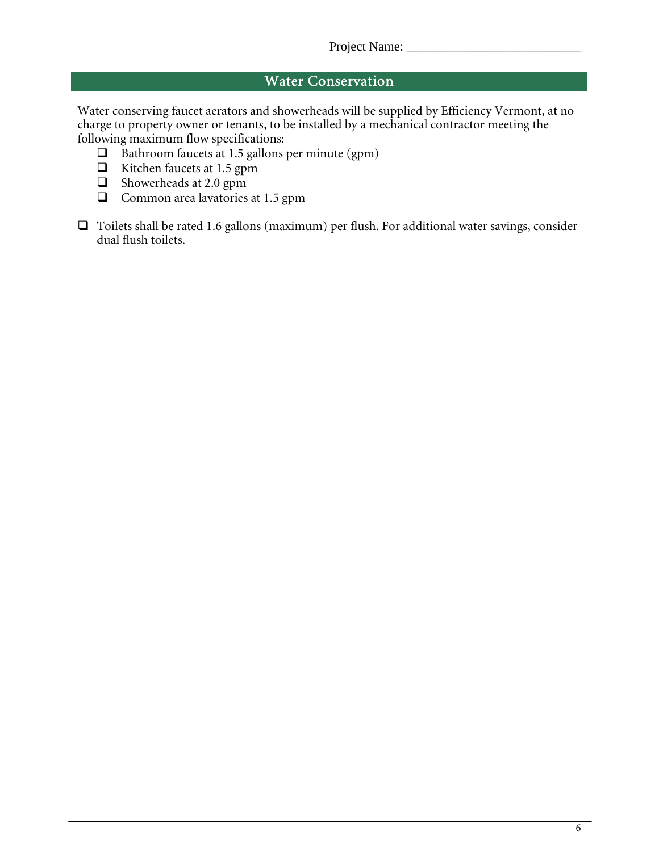# Water Conservation

Water conserving faucet aerators and showerheads will be supplied by Efficiency Vermont, at no charge to property owner or tenants, to be installed by a mechanical contractor meeting the following maximum flow specifications:

- $\Box$  Bathroom faucets at 1.5 gallons per minute (gpm)
- $\Box$  Kitchen faucets at 1.5 gpm
- Showerheads at 2.0 gpm
- $\Box$  Common area lavatories at 1.5 gpm
- $\Box$  Toilets shall be rated 1.6 gallons (maximum) per flush. For additional water savings, consider dual flush toilets.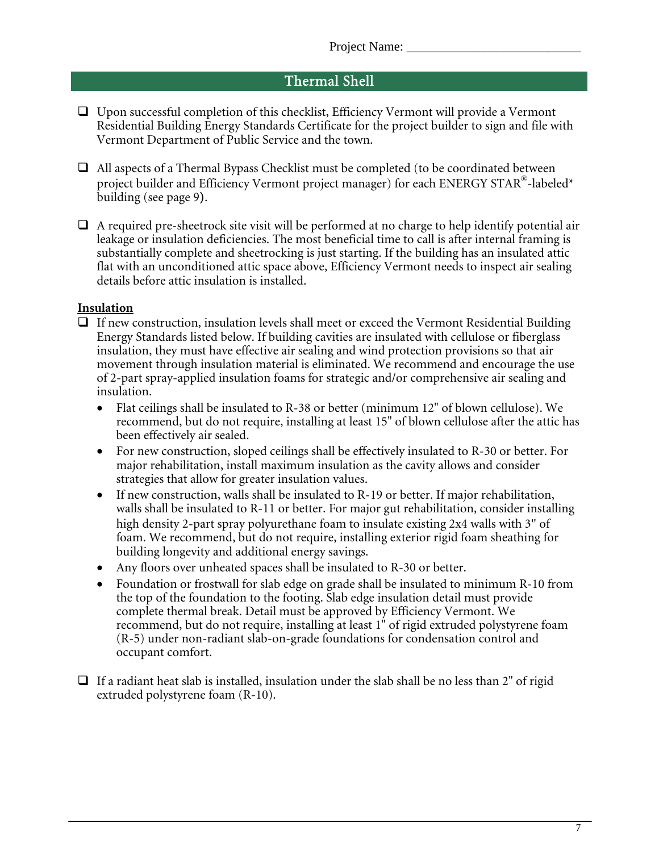## Thermal Shell

- Upon successful completion of this checklist, Efficiency Vermont will provide a Vermont Residential Building Energy Standards Certificate for the project builder to sign and file with Vermont Department of Public Service and the town.
- $\Box$  All aspects of a Thermal Bypass Checklist must be completed (to be coordinated between project builder and Efficiency Vermont project manager) for each ENERGY STAR®-labeled\* building (see page 9).
- $\Box$  A required pre-sheetrock site visit will be performed at no charge to help identify potential air leakage or insulation deficiencies. The most beneficial time to call is after internal framing is substantially complete and sheetrocking is just starting. If the building has an insulated attic flat with an unconditioned attic space above, Efficiency Vermont needs to inspect air sealing details before attic insulation is installed.

#### **Insulation**

- $\Box$  If new construction, insulation levels shall meet or exceed the Vermont Residential Building Energy Standards listed below. If building cavities are insulated with cellulose or fiberglass insulation, they must have effective air sealing and wind protection provisions so that air movement through insulation material is eliminated. We recommend and encourage the use of 2-part spray-applied insulation foams for strategic and/or comprehensive air sealing and insulation.
	- Flat ceilings shall be insulated to R-38 or better (minimum 12" of blown cellulose). We recommend, but do not require, installing at least 15" of blown cellulose after the attic has been effectively air sealed.
	- For new construction, sloped ceilings shall be effectively insulated to R-30 or better. For major rehabilitation, install maximum insulation as the cavity allows and consider strategies that allow for greater insulation values.
	- If new construction, walls shall be insulated to R-19 or better. If major rehabilitation, walls shall be insulated to R-11 or better. For major gut rehabilitation, consider installing high density 2-part spray polyurethane foam to insulate existing 2x4 walls with 3" of foam. We recommend, but do not require, installing exterior rigid foam sheathing for building longevity and additional energy savings.
	- Any floors over unheated spaces shall be insulated to R-30 or better.
	- Foundation or frostwall for slab edge on grade shall be insulated to minimum R-10 from the top of the foundation to the footing. Slab edge insulation detail must provide complete thermal break. Detail must be approved by Efficiency Vermont. We recommend, but do not require, installing at least 1" of rigid extruded polystyrene foam (R-5) under non-radiant slab-on-grade foundations for condensation control and occupant comfort.
- $\Box$  If a radiant heat slab is installed, insulation under the slab shall be no less than 2" of rigid extruded polystyrene foam (R-10).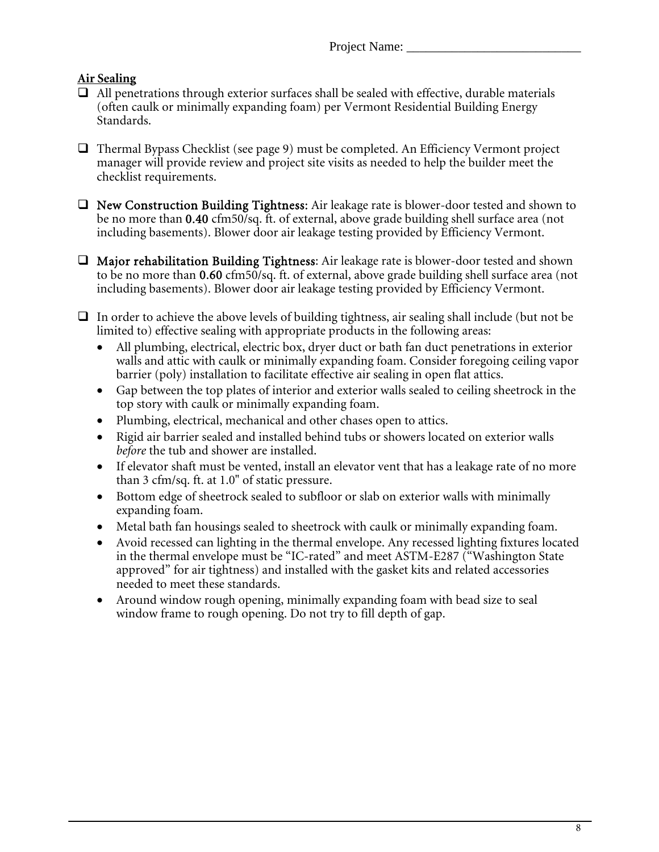Project Name:

## **Air Sealing**

- $\Box$  All penetrations through exterior surfaces shall be sealed with effective, durable materials (often caulk or minimally expanding foam) per Vermont Residential Building Energy Standards.
- $\Box$  Thermal Bypass Checklist (see page 9) must be completed. An Efficiency Vermont project manager will provide review and project site visits as needed to help the builder meet the checklist requirements.
- New Construction Building Tightness: Air leakage rate is blower-door tested and shown to be no more than 0.40 cfm50/sq. ft. of external, above grade building shell surface area (not including basements). Blower door air leakage testing provided by Efficiency Vermont.
- $\Box$  Major rehabilitation Building Tightness: Air leakage rate is blower-door tested and shown to be no more than 0.60 cfm50/sq. ft. of external, above grade building shell surface area (not including basements). Blower door air leakage testing provided by Efficiency Vermont.
- $\Box$  In order to achieve the above levels of building tightness, air sealing shall include (but not be limited to) effective sealing with appropriate products in the following areas:
	- All plumbing, electrical, electric box, dryer duct or bath fan duct penetrations in exterior walls and attic with caulk or minimally expanding foam. Consider foregoing ceiling vapor barrier (poly) installation to facilitate effective air sealing in open flat attics.
	- Gap between the top plates of interior and exterior walls sealed to ceiling sheetrock in the top story with caulk or minimally expanding foam.
	- Plumbing, electrical, mechanical and other chases open to attics.
	- Rigid air barrier sealed and installed behind tubs or showers located on exterior walls *before* the tub and shower are installed.
	- If elevator shaft must be vented, install an elevator vent that has a leakage rate of no more than 3 cfm/sq. ft. at 1.0" of static pressure.
	- Bottom edge of sheetrock sealed to subfloor or slab on exterior walls with minimally expanding foam.
	- Metal bath fan housings sealed to sheetrock with caulk or minimally expanding foam.
	- Avoid recessed can lighting in the thermal envelope. Any recessed lighting fixtures located in the thermal envelope must be "IC-rated" and meet ASTM-E287 ("Washington State approved" for air tightness) and installed with the gasket kits and related accessories needed to meet these standards.
	- Around window rough opening, minimally expanding foam with bead size to seal window frame to rough opening. Do not try to fill depth of gap.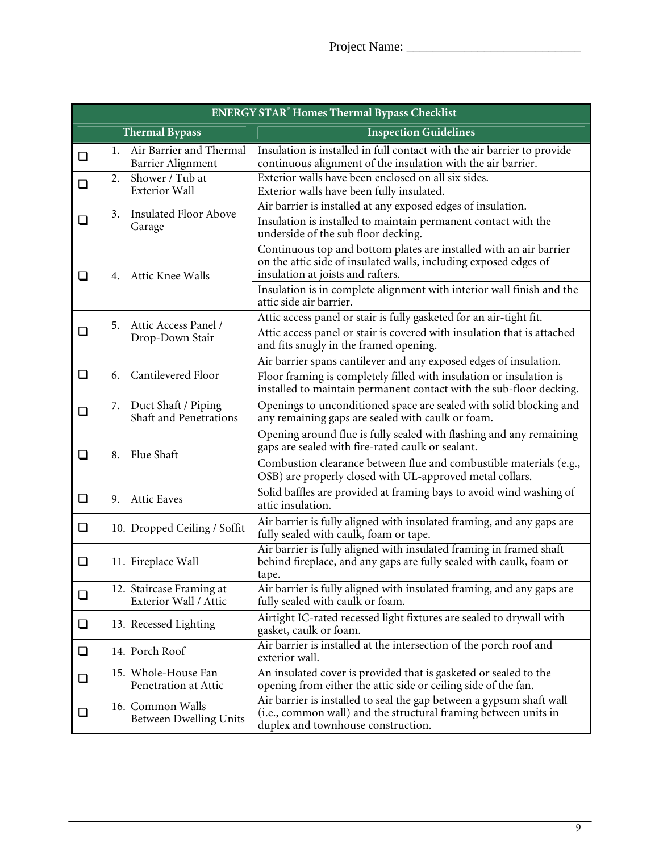| <b>ENERGY STAR<sup>®</sup> Homes Thermal Bypass Checklist</b> |                |                                                   |                                                                                                                                                                               |  |  |
|---------------------------------------------------------------|----------------|---------------------------------------------------|-------------------------------------------------------------------------------------------------------------------------------------------------------------------------------|--|--|
| <b>Thermal Bypass</b>                                         |                |                                                   | <b>Inspection Guidelines</b>                                                                                                                                                  |  |  |
| ❏                                                             | 1.             | Air Barrier and Thermal<br>Barrier Alignment      | Insulation is installed in full contact with the air barrier to provide<br>continuous alignment of the insulation with the air barrier.                                       |  |  |
| ❏                                                             | 2.             | Shower / Tub at                                   | Exterior walls have been enclosed on all six sides.                                                                                                                           |  |  |
|                                                               |                | <b>Exterior Wall</b>                              | Exterior walls have been fully insulated.                                                                                                                                     |  |  |
|                                                               | 3.             | <b>Insulated Floor Above</b><br>Garage            | Air barrier is installed at any exposed edges of insulation.                                                                                                                  |  |  |
| ◻                                                             |                |                                                   | Insulation is installed to maintain permanent contact with the<br>underside of the sub floor decking.                                                                         |  |  |
| ❏                                                             | 4.             | Attic Knee Walls                                  | Continuous top and bottom plates are installed with an air barrier<br>on the attic side of insulated walls, including exposed edges of<br>insulation at joists and rafters.   |  |  |
|                                                               |                |                                                   | Insulation is in complete alignment with interior wall finish and the<br>attic side air barrier.                                                                              |  |  |
| ❏                                                             | 5.             | Attic Access Panel /<br>Drop-Down Stair           | Attic access panel or stair is fully gasketed for an air-tight fit.                                                                                                           |  |  |
|                                                               |                |                                                   | Attic access panel or stair is covered with insulation that is attached<br>and fits snugly in the framed opening.                                                             |  |  |
|                                                               |                |                                                   | Air barrier spans cantilever and any exposed edges of insulation.                                                                                                             |  |  |
| ❏                                                             | 6.             | Cantilevered Floor                                | Floor framing is completely filled with insulation or insulation is<br>installed to maintain permanent contact with the sub-floor decking.                                    |  |  |
| ❏                                                             | 7.             | Duct Shaft / Piping<br>Shaft and Penetrations     | Openings to unconditioned space are sealed with solid blocking and<br>any remaining gaps are sealed with caulk or foam.                                                       |  |  |
| ❏                                                             | 8.             | Flue Shaft                                        | Opening around flue is fully sealed with flashing and any remaining<br>gaps are sealed with fire-rated caulk or sealant.                                                      |  |  |
|                                                               |                |                                                   | Combustion clearance between flue and combustible materials (e.g.,<br>OSB) are properly closed with UL-approved metal collars.                                                |  |  |
| ❏                                                             | 9.             | <b>Attic Eaves</b>                                | Solid baffles are provided at framing bays to avoid wind washing of<br>attic insulation.                                                                                      |  |  |
| ❏                                                             |                | 10. Dropped Ceiling / Soffit                      | Air barrier is fully aligned with insulated framing, and any gaps are<br>fully sealed with caulk, foam or tape.                                                               |  |  |
| ◻                                                             |                | 11. Fireplace Wall                                | Air barrier is fully aligned with insulated framing in framed shaft<br>behind fireplace, and any gaps are fully sealed with caulk, foam or<br>tape.                           |  |  |
| ❏                                                             |                | 12. Staircase Framing at<br>Exterior Wall / Attic | Air barrier is fully aligned with insulated framing, and any gaps are<br>fully sealed with caulk or foam.                                                                     |  |  |
| $\Box$                                                        |                | 13. Recessed Lighting                             | Airtight IC-rated recessed light fixtures are sealed to drywall with<br>gasket, caulk or foam.                                                                                |  |  |
| ❏                                                             | 14. Porch Roof |                                                   | Air barrier is installed at the intersection of the porch roof and<br>exterior wall.                                                                                          |  |  |
| $\Box$                                                        |                | 15. Whole-House Fan<br>Penetration at Attic       | An insulated cover is provided that is gasketed or sealed to the<br>opening from either the attic side or ceiling side of the fan.                                            |  |  |
| ❏                                                             |                | 16. Common Walls<br><b>Between Dwelling Units</b> | Air barrier is installed to seal the gap between a gypsum shaft wall<br>(i.e., common wall) and the structural framing between units in<br>duplex and townhouse construction. |  |  |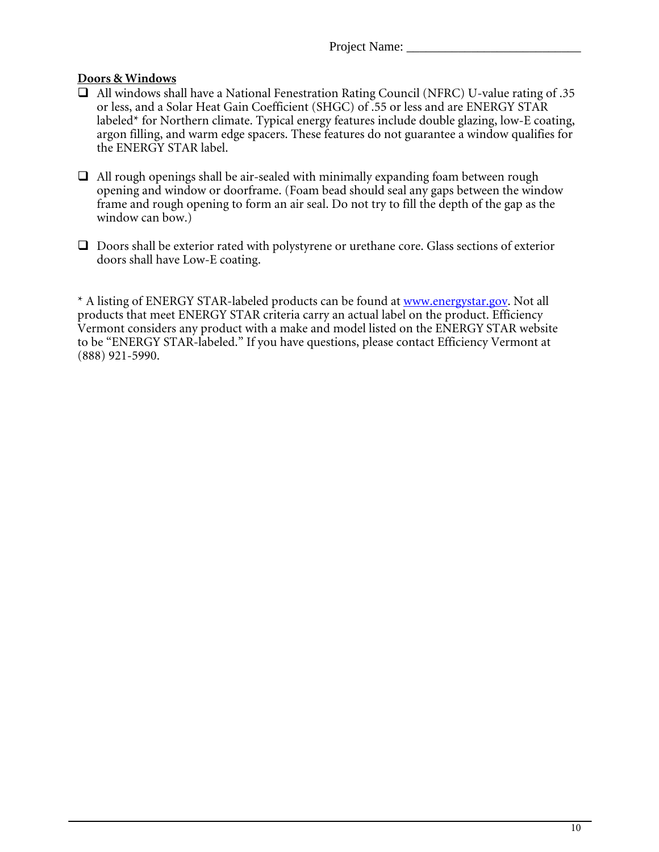#### **Doors & Windows**

- All windows shall have a National Fenestration Rating Council (NFRC) U-value rating of .35 or less, and a Solar Heat Gain Coefficient (SHGC) of .55 or less and are ENERGY STAR labeled\* for Northern climate. Typical energy features include double glazing, low-E coating, argon filling, and warm edge spacers. These features do not guarantee a window qualifies for the ENERGY STAR label.
- $\Box$  All rough openings shall be air-sealed with minimally expanding foam between rough opening and window or doorframe. (Foam bead should seal any gaps between the window frame and rough opening to form an air seal. Do not try to fill the depth of the gap as the window can bow.)
- $\Box$  Doors shall be exterior rated with polystyrene or urethane core. Glass sections of exterior doors shall have Low-E coating.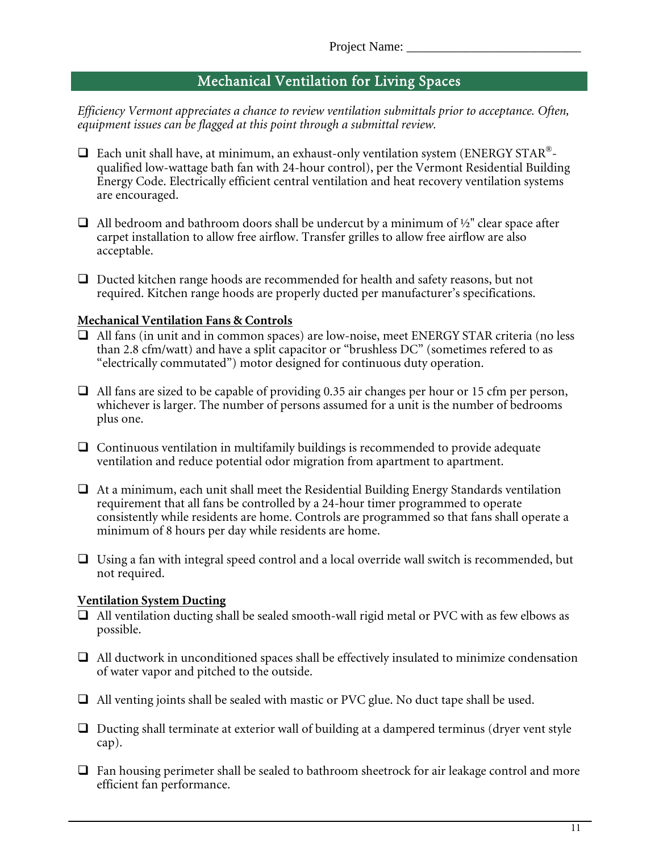# Mechanical Ventilation for Living Spaces

*Efficiency Vermont appreciates a chance to review ventilation submittals prior to acceptance. Often, equipment issues can be flagged at this point through a submittal review.* 

- $\Box$  Each unit shall have, at minimum, an exhaust-only ventilation system (ENERGY STAR®qualified low-wattage bath fan with 24-hour control), per the Vermont Residential Building Energy Code. Electrically efficient central ventilation and heat recovery ventilation systems are encouraged.
- $\Box$  All bedroom and bathroom doors shall be undercut by a minimum of  $\frac{1}{2}$ " clear space after carpet installation to allow free airflow. Transfer grilles to allow free airflow are also acceptable.
- $\Box$  Ducted kitchen range hoods are recommended for health and safety reasons, but not required. Kitchen range hoods are properly ducted per manufacturer's specifications.

#### **Mechanical Ventilation Fans & Controls**

- All fans (in unit and in common spaces) are low-noise, meet ENERGY STAR criteria (no less than 2.8 cfm/watt) and have a split capacitor or "brushless DC" (sometimes refered to as "electrically commutated") motor designed for continuous duty operation.
- $\Box$  All fans are sized to be capable of providing 0.35 air changes per hour or 15 cfm per person, whichever is larger. The number of persons assumed for a unit is the number of bedrooms plus one.
- $\Box$  Continuous ventilation in multifamily buildings is recommended to provide adequate ventilation and reduce potential odor migration from apartment to apartment.
- $\Box$  At a minimum, each unit shall meet the Residential Building Energy Standards ventilation requirement that all fans be controlled by a 24-hour timer programmed to operate consistently while residents are home. Controls are programmed so that fans shall operate a minimum of 8 hours per day while residents are home.
- $\Box$  Using a fan with integral speed control and a local override wall switch is recommended, but not required.

### **Ventilation System Ducting**

- $\Box$  All ventilation ducting shall be sealed smooth-wall rigid metal or PVC with as few elbows as possible.
- $\Box$  All ductwork in unconditioned spaces shall be effectively insulated to minimize condensation of water vapor and pitched to the outside.
- $\Box$  All venting joints shall be sealed with mastic or PVC glue. No duct tape shall be used.
- $\Box$  Ducting shall terminate at exterior wall of building at a dampered terminus (dryer vent style cap).
- $\Box$  Fan housing perimeter shall be sealed to bathroom sheetrock for air leakage control and more efficient fan performance.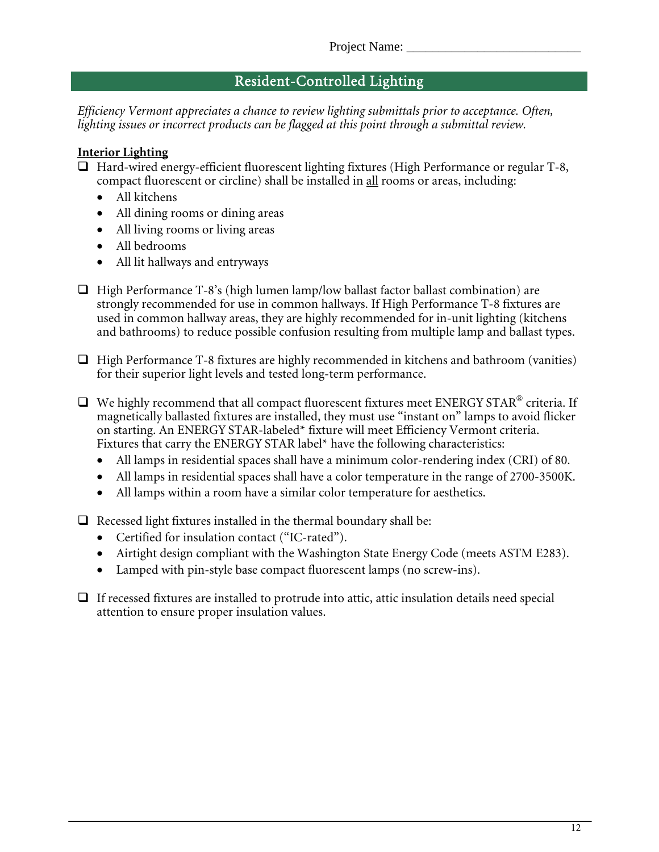# Resident-Controlled Lighting

*Efficiency Vermont appreciates a chance to review lighting submittals prior to acceptance. Often, lighting issues or incorrect products can be flagged at this point through a submittal review.* 

### **Interior Lighting**

- Hard-wired energy-efficient fluorescent lighting fixtures (High Performance or regular T-8, compact fluorescent or circline) shall be installed in all rooms or areas, including:
	- All kitchens
	- All dining rooms or dining areas
	- All living rooms or living areas
	- All bedrooms
	- All lit hallways and entryways
- $\Box$  High Performance T-8's (high lumen lamp/low ballast factor ballast combination) are strongly recommended for use in common hallways. If High Performance T-8 fixtures are used in common hallway areas, they are highly recommended for in-unit lighting (kitchens and bathrooms) to reduce possible confusion resulting from multiple lamp and ballast types.
- $\Box$  High Performance T-8 fixtures are highly recommended in kitchens and bathroom (vanities) for their superior light levels and tested long-term performance.
- $\Box$  We highly recommend that all compact fluorescent fixtures meet ENERGY STAR® criteria. If magnetically ballasted fixtures are installed, they must use "instant on" lamps to avoid flicker on starting. An ENERGY STAR-labeled\* fixture will meet Efficiency Vermont criteria. Fixtures that carry the ENERGY STAR label\* have the following characteristics:
	- All lamps in residential spaces shall have a minimum color-rendering index (CRI) of 80.
	- All lamps in residential spaces shall have a color temperature in the range of 2700-3500K.
	- All lamps within a room have a similar color temperature for aesthetics.
- $\Box$  Recessed light fixtures installed in the thermal boundary shall be:
	- Certified for insulation contact ("IC-rated").
	- Airtight design compliant with the Washington State Energy Code (meets ASTM E283).
	- Lamped with pin-style base compact fluorescent lamps (no screw-ins).
- $\Box$  If recessed fixtures are installed to protrude into attic, attic insulation details need special attention to ensure proper insulation values.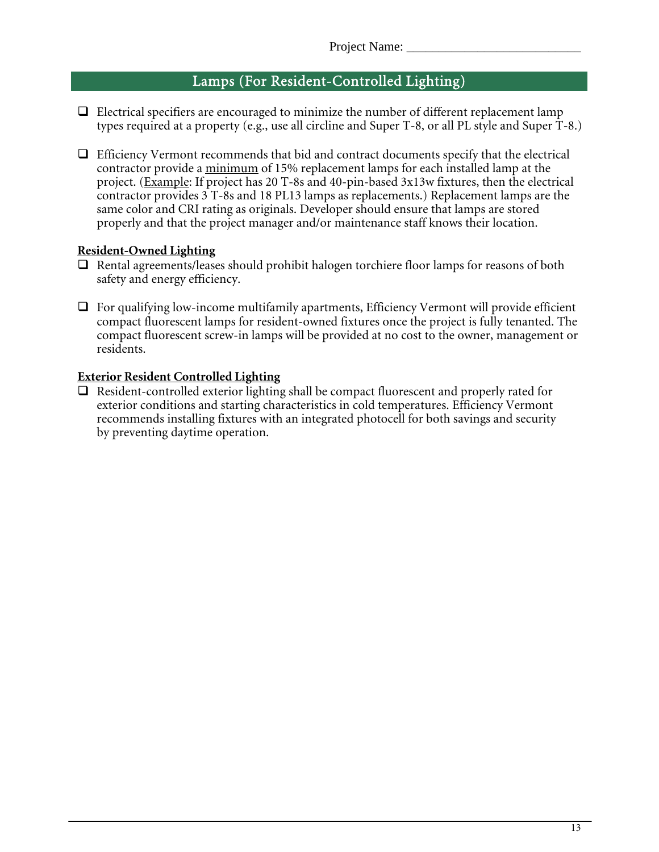# Lamps (For Resident-Controlled Lighting)

- $\Box$  Electrical specifiers are encouraged to minimize the number of different replacement lamp types required at a property (e.g., use all circline and Super T-8, or all PL style and Super T-8.)
- $\Box$  Efficiency Vermont recommends that bid and contract documents specify that the electrical contractor provide a minimum of 15% replacement lamps for each installed lamp at the project. (Example: If project has 20 T-8s and 40-pin-based 3x13w fixtures, then the electrical contractor provides 3 T-8s and 18 PL13 lamps as replacements.) Replacement lamps are the same color and CRI rating as originals. Developer should ensure that lamps are stored properly and that the project manager and/or maintenance staff knows their location.

#### **Resident-Owned Lighting**

- $\Box$  Rental agreements/leases should prohibit halogen torchiere floor lamps for reasons of both safety and energy efficiency.
- $\Box$  For qualifying low-income multifamily apartments, Efficiency Vermont will provide efficient compact fluorescent lamps for resident-owned fixtures once the project is fully tenanted. The compact fluorescent screw-in lamps will be provided at no cost to the owner, management or residents.

#### **Exterior Resident Controlled Lighting**

 $\Box$  Resident-controlled exterior lighting shall be compact fluorescent and properly rated for exterior conditions and starting characteristics in cold temperatures. Efficiency Vermont recommends installing fixtures with an integrated photocell for both savings and security by preventing daytime operation.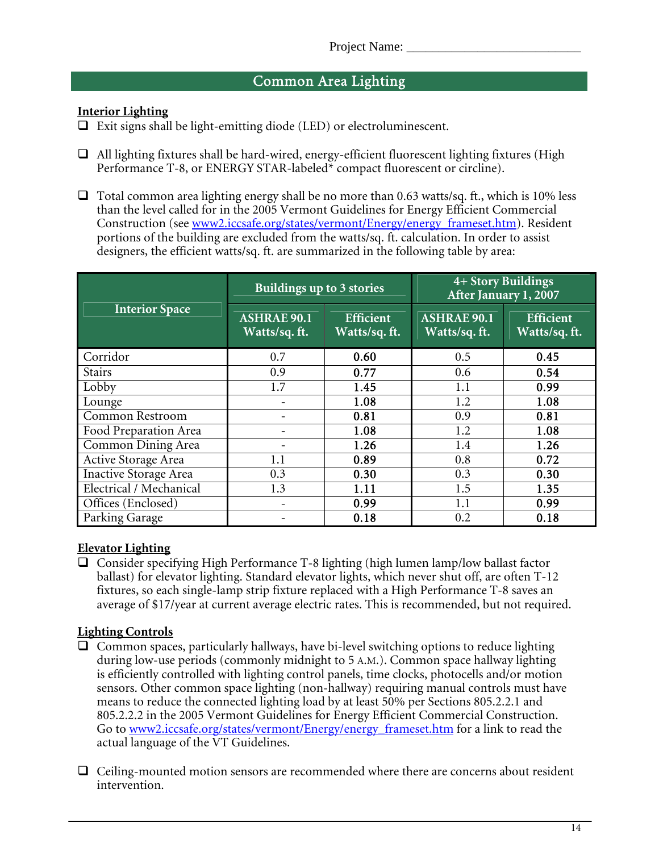# Common Area Lighting

### **Interior Lighting**

 $\Box$  Exit signs shall be light-emitting diode (LED) or electroluminescent.

- $\Box$  All lighting fixtures shall be hard-wired, energy-efficient fluorescent lighting fixtures (High Performance T-8, or ENERGY STAR-labeled\* compact fluorescent or circline).
- $\Box$  Total common area lighting energy shall be no more than 0.63 watts/sq. ft., which is 10% less than the level called for in the 2005 Vermont Guidelines for Energy Efficient Commercial Construction (see www2.iccsafe.org/states/vermont/Energy/energy\_frameset.htm). Resident portions of the building are excluded from the watts/sq. ft. calculation. In order to assist designers, the efficient watts/sq. ft. are summarized in the following table by area:

|                              | Buildings up to 3 stories          |                                  | 4+ Story Buildings<br>After January 1, 2007 |                                  |
|------------------------------|------------------------------------|----------------------------------|---------------------------------------------|----------------------------------|
| <b>Interior Space</b>        | <b>ASHRAE 90.1</b><br>Watts/sq.ft. | <b>Efficient</b><br>Watts/sq.ft. | <b>ASHRAE 90.1</b><br>Watts/sq.ft.          | <b>Efficient</b><br>Watts/sq.ft. |
| Corridor                     | 0.7                                | 0.60                             | 0.5                                         | 0.45                             |
| <b>Stairs</b>                | 0.9                                | 0.77                             | 0.6                                         | 0.54                             |
| Lobby                        | 1.7                                | 1.45                             | 1.1                                         | 0.99                             |
| Lounge                       |                                    | 1.08                             | 1.2                                         | 1.08                             |
| <b>Common Restroom</b>       |                                    | 0.81                             | 0.9                                         | 0.81                             |
| Food Preparation Area        |                                    | 1.08                             | 1.2                                         | 1.08                             |
| Common Dining Area           |                                    | 1.26                             | 1.4                                         | 1.26                             |
| Active Storage Area          | 1.1                                | 0.89                             | 0.8                                         | 0.72                             |
| <b>Inactive Storage</b> Area | 0.3                                | 0.30                             | 0.3                                         | 0.30                             |
| Electrical / Mechanical      | 1.3                                | 1.11                             | 1.5                                         | 1.35                             |
| Offices (Enclosed)           |                                    | 0.99                             | 1.1                                         | 0.99                             |
| Parking Garage               |                                    | 0.18                             | 0.2                                         | 0.18                             |

## **Elevator Lighting**

 $\Box$  Consider specifying High Performance T-8 lighting (high lumen lamp/low ballast factor ballast) for elevator lighting. Standard elevator lights, which never shut off, are often T-12 fixtures, so each single-lamp strip fixture replaced with a High Performance T-8 saves an average of \$17/year at current average electric rates. This is recommended, but not required.

## **Lighting Controls**

- $\Box$  Common spaces, particularly hallways, have bi-level switching options to reduce lighting during low-use periods (commonly midnight to 5 A.M.). Common space hallway lighting is efficiently controlled with lighting control panels, time clocks, photocells and/or motion sensors. Other common space lighting (non-hallway) requiring manual controls must have means to reduce the connected lighting load by at least 50% per Sections 805.2.2.1 and 805.2.2.2 in the 2005 Vermont Guidelines for Energy Efficient Commercial Construction. Go to www2.iccsafe.org/states/vermont/Energy/energy\_frameset.htm for a link to read the actual language of the VT Guidelines.
- $\Box$  Ceiling-mounted motion sensors are recommended where there are concerns about resident intervention.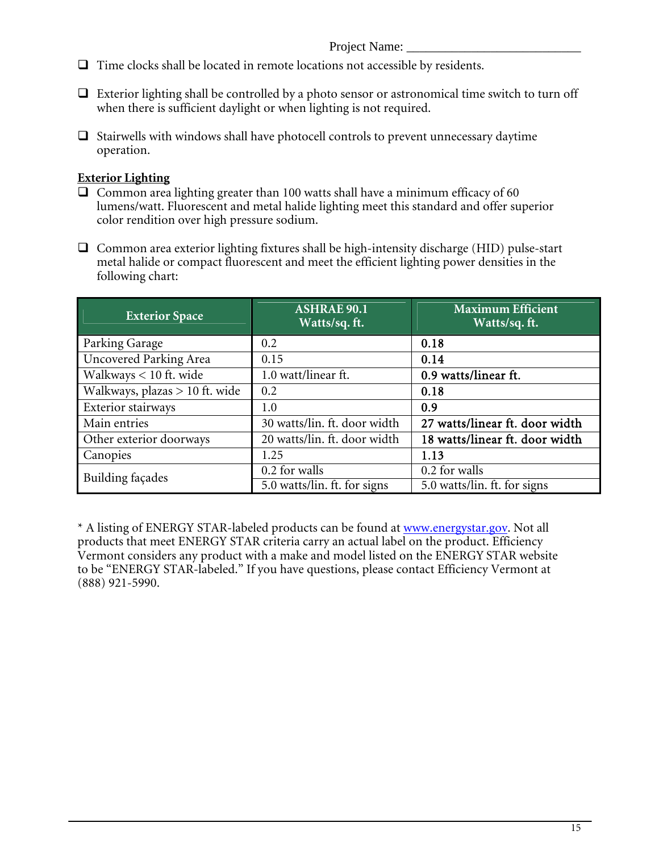Project Name: \_

- $\Box$  Time clocks shall be located in remote locations not accessible by residents.
- $\Box$  Exterior lighting shall be controlled by a photo sensor or astronomical time switch to turn off when there is sufficient daylight or when lighting is not required.
- $\Box$  Stairwells with windows shall have photocell controls to prevent unnecessary daytime operation.

### **Exterior Lighting**

- $\Box$  Common area lighting greater than 100 watts shall have a minimum efficacy of 60 lumens/watt. Fluorescent and metal halide lighting meet this standard and offer superior color rendition over high pressure sodium.
- $\Box$  Common area exterior lighting fixtures shall be high-intensity discharge (HID) pulse-start metal halide or compact fluorescent and meet the efficient lighting power densities in the following chart:

| <b>Exterior Space</b>          | <b>ASHRAE 90.1</b><br>Watts/sq.ft. | <b>Maximum Efficient</b><br>Watts/sq.ft. |
|--------------------------------|------------------------------------|------------------------------------------|
| Parking Garage                 | 0.2                                | 0.18                                     |
| Uncovered Parking Area         | 0.15                               | 0.14                                     |
| Walkways < 10 ft. wide         | 1.0 watt/linear ft.                | 0.9 watts/linear ft.                     |
| Walkways, plazas > 10 ft. wide | 0.2                                | 0.18                                     |
| Exterior stairways             | 1.0                                | 0.9                                      |
| Main entries                   | 30 watts/lin. ft. door width       | 27 watts/linear ft. door width           |
| Other exterior doorways        | 20 watts/lin. ft. door width       | 18 watts/linear ft. door width           |
| Canopies                       | 1.25                               | 1.13                                     |
| Building façades               | 0.2 for walls                      | 0.2 for walls                            |
|                                | 5.0 watts/lin. ft. for signs       | 5.0 watts/lin. ft. for signs             |